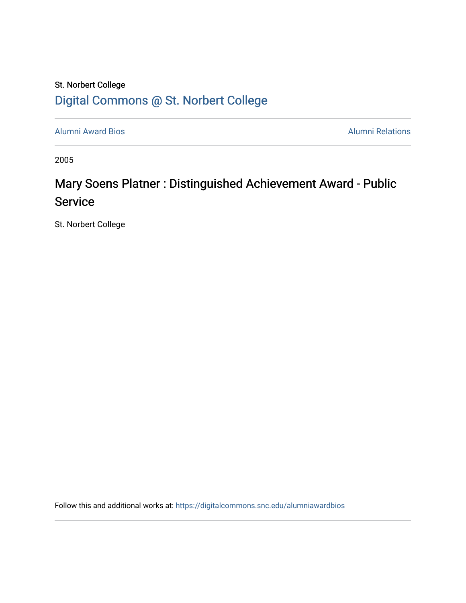## St. Norbert College [Digital Commons @ St. Norbert College](https://digitalcommons.snc.edu/)

[Alumni Award Bios](https://digitalcommons.snc.edu/alumniawardbios) **Alumni Relations** Alumni Relations

2005

## Mary Soens Platner : Distinguished Achievement Award - Public **Service**

St. Norbert College

Follow this and additional works at: [https://digitalcommons.snc.edu/alumniawardbios](https://digitalcommons.snc.edu/alumniawardbios?utm_source=digitalcommons.snc.edu%2Falumniawardbios%2F22&utm_medium=PDF&utm_campaign=PDFCoverPages)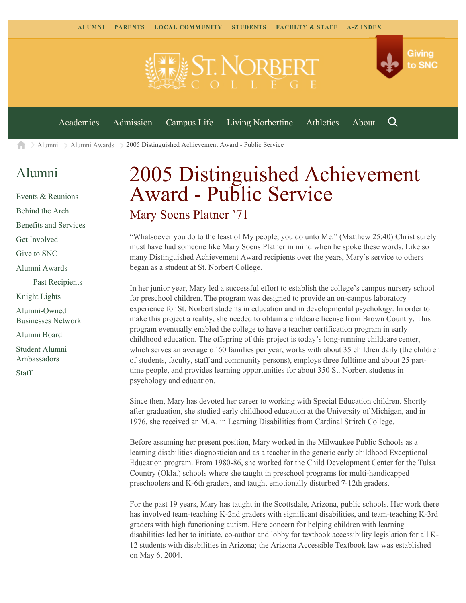

[Alumni](https://www.snc.edu/alumni/) [Alumni Awards](https://www.snc.edu/alumni/awards/) 2005 Distinguished Achievement Award - Public Service A

## [Alumni](https://www.snc.edu/alumni/index.html)

[Events & Reunions](https://www.snc.edu/alumni/event/index.html) [Behind the Arch](https://www.snc.edu/alumni/event/behindthearch/) [Benefits and Services](https://www.snc.edu/alumni/benefits.html) [Get Involved](https://www.snc.edu/alumni/getinvolved.html) [Give to SNC](http://giving.snc.edu/) [Alumni Awards](https://www.snc.edu/alumni/awards/index.html) [Past Recipients](https://www.snc.edu/alumni/awards/recipients.html) [Knight Lights](https://www.snc.edu/alumni/knightlights/index.html) [Alumni-Owned](https://www.snc.edu/alumni/directory/index.html) [Businesses Network](https://www.snc.edu/alumni/directory/index.html) [Alumni Board](https://www.snc.edu/alumni/alumniboard.html) [Student Alumni](https://www.snc.edu/alumni/saa.html) [Ambassadors](https://www.snc.edu/alumni/saa.html) [Staff](https://www.snc.edu/alumni/contactus.html)

# 2005 Distinguished Achievement Award - Public Service Mary Soens Platner '71

"Whatsoever you do to the least of My people, you do unto Me." (Matthew 25:40) Christ surely must have had someone like Mary Soens Platner in mind when he spoke these words. Like so many Distinguished Achievement Award recipients over the years, Mary's service to others began as a student at St. Norbert College.

In her junior year, Mary led a successful effort to establish the college's campus nursery school for preschool children. The program was designed to provide an on-campus laboratory experience for St. Norbert students in education and in developmental psychology. In order to make this project a reality, she needed to obtain a childcare license from Brown Country. This program eventually enabled the college to have a teacher certification program in early childhood education. The offspring of this project is today's long-running childcare center, which serves an average of 60 families per year, works with about 35 children daily (the children of students, faculty, staff and community persons), employs three fulltime and about 25 parttime people, and provides learning opportunities for about 350 St. Norbert students in psychology and education.

Since then, Mary has devoted her career to working with Special Education children. Shortly after graduation, she studied early childhood education at the University of Michigan, and in 1976, she received an M.A. in Learning Disabilities from Cardinal Stritch College.

Before assuming her present position, Mary worked in the Milwaukee Public Schools as a learning disabilities diagnostician and as a teacher in the generic early childhood Exceptional Education program. From 1980-86, she worked for the Child Development Center for the Tulsa Country (Okla.) schools where she taught in preschool programs for multi-handicapped preschoolers and K-6th graders, and taught emotionally disturbed 7-12th graders.

For the past 19 years, Mary has taught in the Scottsdale, Arizona, public schools. Her work there has involved team-teaching K-2nd graders with significant disabilities, and team-teaching K-3rd graders with high functioning autism. Here concern for helping children with learning disabilities led her to initiate, co-author and lobby for textbook accessibility legislation for all K-12 students with disabilities in Arizona; the Arizona Accessible Textbook law was established on May 6, 2004.